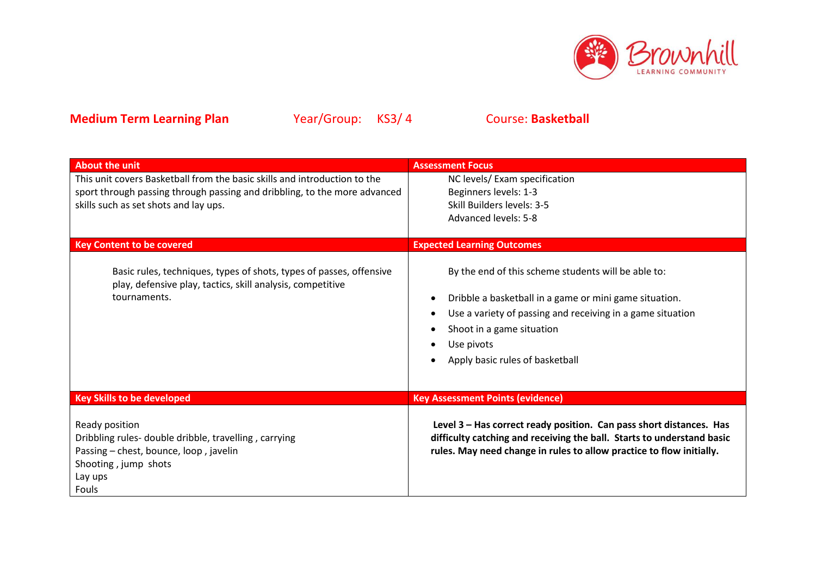

| <b>About the unit</b>                                                                                                                                                | <b>Assessment Focus</b>                                                                                                                                                                                                                                   |
|----------------------------------------------------------------------------------------------------------------------------------------------------------------------|-----------------------------------------------------------------------------------------------------------------------------------------------------------------------------------------------------------------------------------------------------------|
| This unit covers Basketball from the basic skills and introduction to the                                                                                            | NC levels/ Exam specification                                                                                                                                                                                                                             |
| sport through passing through passing and dribbling, to the more advanced                                                                                            | Beginners levels: 1-3                                                                                                                                                                                                                                     |
| skills such as set shots and lay ups.                                                                                                                                | Skill Builders levels: 3-5                                                                                                                                                                                                                                |
|                                                                                                                                                                      | <b>Advanced levels: 5-8</b>                                                                                                                                                                                                                               |
|                                                                                                                                                                      |                                                                                                                                                                                                                                                           |
| <b>Key Content to be covered</b>                                                                                                                                     | <b>Expected Learning Outcomes</b>                                                                                                                                                                                                                         |
| Basic rules, techniques, types of shots, types of passes, offensive<br>play, defensive play, tactics, skill analysis, competitive<br>tournaments.                    | By the end of this scheme students will be able to:<br>Dribble a basketball in a game or mini game situation.<br>Use a variety of passing and receiving in a game situation<br>Shoot in a game situation<br>Use pivots<br>Apply basic rules of basketball |
|                                                                                                                                                                      |                                                                                                                                                                                                                                                           |
| <b>Key Skills to be developed</b>                                                                                                                                    | <b>Key Assessment Points (evidence)</b>                                                                                                                                                                                                                   |
| Ready position<br>Dribbling rules- double dribble, travelling, carrying<br>Passing - chest, bounce, loop, javelin<br>Shooting, jump shots<br>Lay ups<br><b>Fouls</b> | Level 3 - Has correct ready position. Can pass short distances. Has<br>difficulty catching and receiving the ball. Starts to understand basic<br>rules. May need change in rules to allow practice to flow initially.                                     |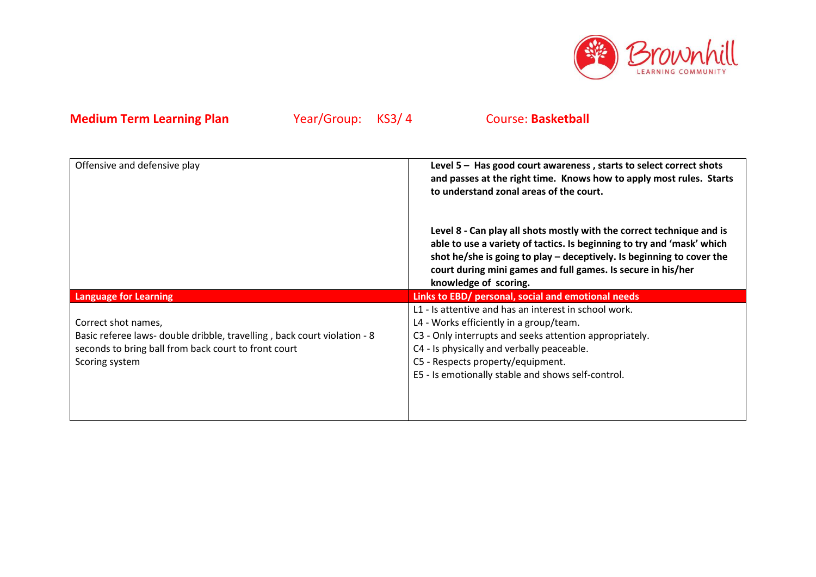

| Offensive and defensive play                                                                                                                                              | Level $5$ – Has good court awareness, starts to select correct shots<br>and passes at the right time. Knows how to apply most rules. Starts<br>to understand zonal areas of the court.                                                                                                                              |  |
|---------------------------------------------------------------------------------------------------------------------------------------------------------------------------|---------------------------------------------------------------------------------------------------------------------------------------------------------------------------------------------------------------------------------------------------------------------------------------------------------------------|--|
|                                                                                                                                                                           | Level 8 - Can play all shots mostly with the correct technique and is<br>able to use a variety of tactics. Is beginning to try and 'mask' which<br>shot he/she is going to play $-$ deceptively. Is beginning to cover the<br>court during mini games and full games. Is secure in his/her<br>knowledge of scoring. |  |
| <b>Language for Learning</b>                                                                                                                                              | Links to EBD/ personal, social and emotional needs                                                                                                                                                                                                                                                                  |  |
| Correct shot names,<br>Basic referee laws- double dribble, travelling, back court violation - 8<br>seconds to bring ball from back court to front court<br>Scoring system | L1 - Is attentive and has an interest in school work.<br>L4 - Works efficiently in a group/team.<br>C3 - Only interrupts and seeks attention appropriately.<br>C4 - Is physically and verbally peaceable.<br>C5 - Respects property/equipment.<br>E5 - Is emotionally stable and shows self-control.                |  |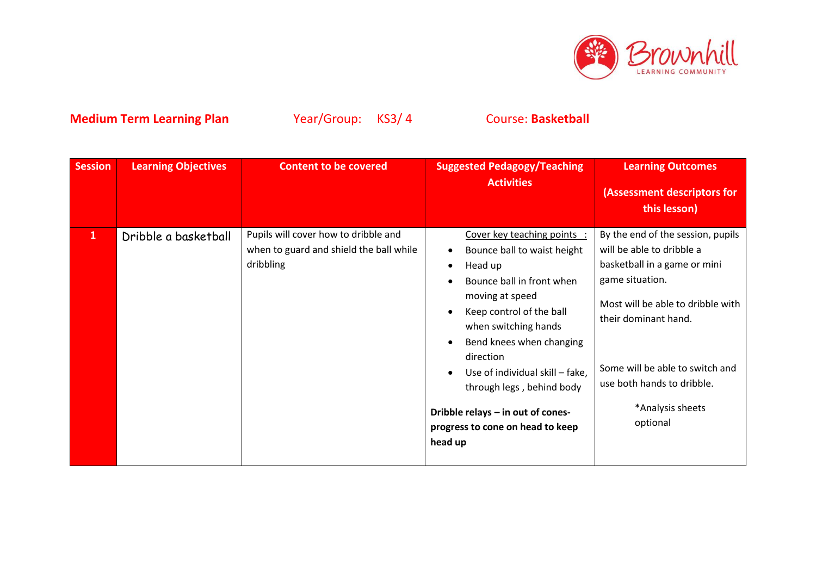

| <b>Session</b> | <b>Learning Objectives</b> | <b>Content to be covered</b>                                                                 | <b>Suggested Pedagogy/Teaching</b><br><b>Activities</b>                                                                                                                                                                                                                                                                                                                | <b>Learning Outcomes</b><br>(Assessment descriptors for<br>this lesson)                                                                                                                                                                                                         |
|----------------|----------------------------|----------------------------------------------------------------------------------------------|------------------------------------------------------------------------------------------------------------------------------------------------------------------------------------------------------------------------------------------------------------------------------------------------------------------------------------------------------------------------|---------------------------------------------------------------------------------------------------------------------------------------------------------------------------------------------------------------------------------------------------------------------------------|
| $\mathbf{1}$   | Dribble a basketball       | Pupils will cover how to dribble and<br>when to guard and shield the ball while<br>dribbling | Cover key teaching points :<br>Bounce ball to waist height<br>Head up<br>Bounce ball in front when<br>moving at speed<br>Keep control of the ball<br>when switching hands<br>Bend knees when changing<br>direction<br>Use of individual skill - fake,<br>through legs, behind body<br>Dribble relays - in out of cones-<br>progress to cone on head to keep<br>head up | By the end of the session, pupils<br>will be able to dribble a<br>basketball in a game or mini<br>game situation.<br>Most will be able to dribble with<br>their dominant hand.<br>Some will be able to switch and<br>use both hands to dribble.<br>*Analysis sheets<br>optional |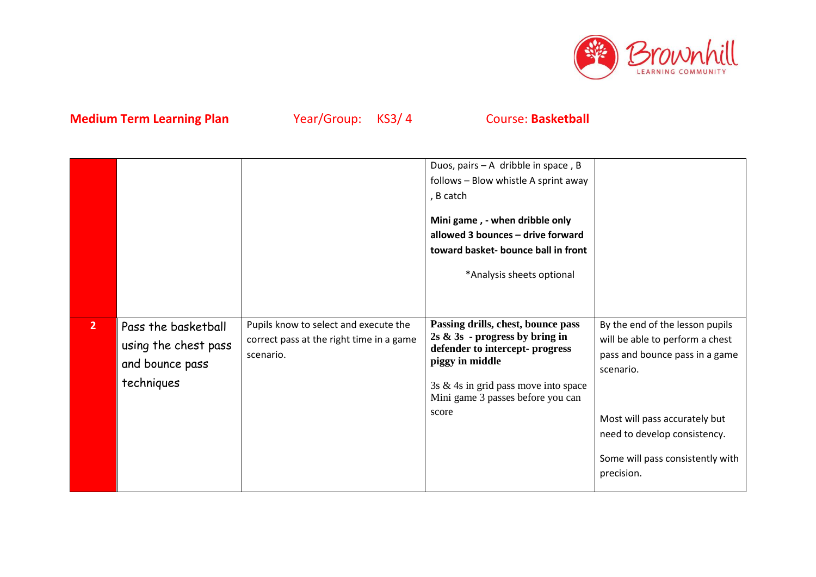

|                |                                                                              |                                                                                                | Duos, pairs $- A$ dribble in space, B<br>follows - Blow whistle A sprint away<br>, B catch<br>Mini game, - when dribble only<br>allowed 3 bounces - drive forward<br>toward basket- bounce ball in front<br>*Analysis sheets optional |                                                                                                                                                                                                                                      |
|----------------|------------------------------------------------------------------------------|------------------------------------------------------------------------------------------------|---------------------------------------------------------------------------------------------------------------------------------------------------------------------------------------------------------------------------------------|--------------------------------------------------------------------------------------------------------------------------------------------------------------------------------------------------------------------------------------|
| 2 <sup>1</sup> | Pass the basketball<br>using the chest pass<br>and bounce pass<br>techniques | Pupils know to select and execute the<br>correct pass at the right time in a game<br>scenario. | Passing drills, chest, bounce pass<br>$2s \& 3s$ - progress by bring in<br>defender to intercept- progress<br>piggy in middle<br>3s $&$ 4s in grid pass move into space<br>Mini game 3 passes before you can<br>score                 | By the end of the lesson pupils<br>will be able to perform a chest<br>pass and bounce pass in a game<br>scenario.<br>Most will pass accurately but<br>need to develop consistency.<br>Some will pass consistently with<br>precision. |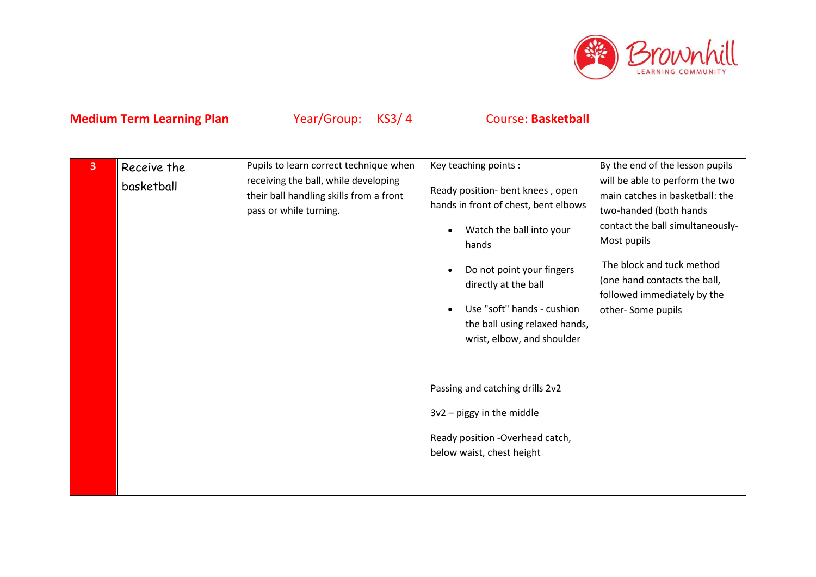

| 3 | Receive the | Pupils to learn correct technique when                                                                    | Key teaching points :                                                                                                                                   | By the end of the lesson pupils                                                                                                                 |
|---|-------------|-----------------------------------------------------------------------------------------------------------|---------------------------------------------------------------------------------------------------------------------------------------------------------|-------------------------------------------------------------------------------------------------------------------------------------------------|
|   | basketball  | receiving the ball, while developing<br>their ball handling skills from a front<br>pass or while turning. | Ready position- bent knees, open<br>hands in front of chest, bent elbows<br>Watch the ball into your                                                    | will be able to perform the two<br>main catches in basketball: the<br>two-handed (both hands<br>contact the ball simultaneously-<br>Most pupils |
|   |             |                                                                                                           | hands<br>Do not point your fingers<br>directly at the ball<br>Use "soft" hands - cushion<br>the ball using relaxed hands,<br>wrist, elbow, and shoulder | The block and tuck method<br>(one hand contacts the ball,<br>followed immediately by the<br>other-Some pupils                                   |
|   |             |                                                                                                           | Passing and catching drills 2v2<br>$3v2$ – piggy in the middle<br>Ready position -Overhead catch,<br>below waist, chest height                          |                                                                                                                                                 |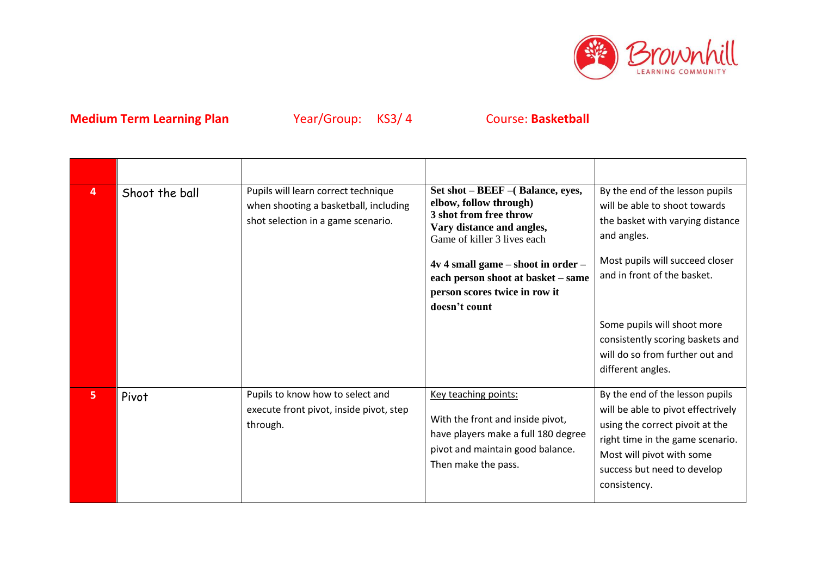

| 4              | Shoot the ball | Pupils will learn correct technique<br>when shooting a basketball, including<br>shot selection in a game scenario. | Set shot – BEEF – (Balance, eyes,<br>elbow, follow through)<br>3 shot from free throw<br>Vary distance and angles,<br>Game of killer 3 lives each<br>$4v 4$ small game – shoot in order –<br>each person shoot at basket - same<br>person scores twice in row it<br>doesn't count | By the end of the lesson pupils<br>will be able to shoot towards<br>the basket with varying distance<br>and angles.<br>Most pupils will succeed closer<br>and in front of the basket.<br>Some pupils will shoot more<br>consistently scoring baskets and<br>will do so from further out and<br>different angles. |
|----------------|----------------|--------------------------------------------------------------------------------------------------------------------|-----------------------------------------------------------------------------------------------------------------------------------------------------------------------------------------------------------------------------------------------------------------------------------|------------------------------------------------------------------------------------------------------------------------------------------------------------------------------------------------------------------------------------------------------------------------------------------------------------------|
| 5 <sub>1</sub> | Pivot          | Pupils to know how to select and<br>execute front pivot, inside pivot, step<br>through.                            | Key teaching points:<br>With the front and inside pivot,<br>have players make a full 180 degree<br>pivot and maintain good balance.<br>Then make the pass.                                                                                                                        | By the end of the lesson pupils<br>will be able to pivot effectrively<br>using the correct pivoit at the<br>right time in the game scenario.<br>Most will pivot with some<br>success but need to develop<br>consistency.                                                                                         |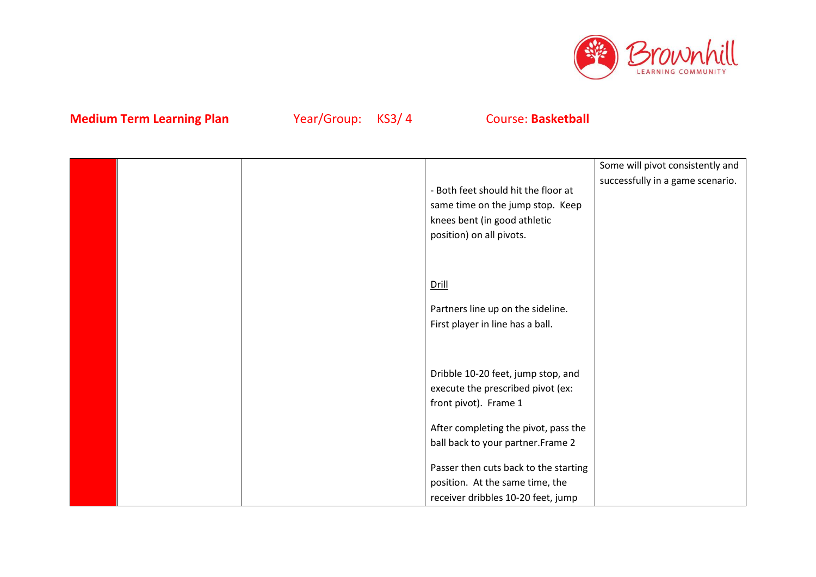

|  |                                       | Some will pivot consistently and |
|--|---------------------------------------|----------------------------------|
|  |                                       | successfully in a game scenario. |
|  | - Both feet should hit the floor at   |                                  |
|  | same time on the jump stop. Keep      |                                  |
|  | knees bent (in good athletic          |                                  |
|  | position) on all pivots.              |                                  |
|  |                                       |                                  |
|  |                                       |                                  |
|  | <b>Drill</b>                          |                                  |
|  |                                       |                                  |
|  | Partners line up on the sideline.     |                                  |
|  | First player in line has a ball.      |                                  |
|  |                                       |                                  |
|  |                                       |                                  |
|  |                                       |                                  |
|  | Dribble 10-20 feet, jump stop, and    |                                  |
|  | execute the prescribed pivot (ex:     |                                  |
|  | front pivot). Frame 1                 |                                  |
|  |                                       |                                  |
|  | After completing the pivot, pass the  |                                  |
|  | ball back to your partner. Frame 2    |                                  |
|  | Passer then cuts back to the starting |                                  |
|  | position. At the same time, the       |                                  |
|  | receiver dribbles 10-20 feet, jump    |                                  |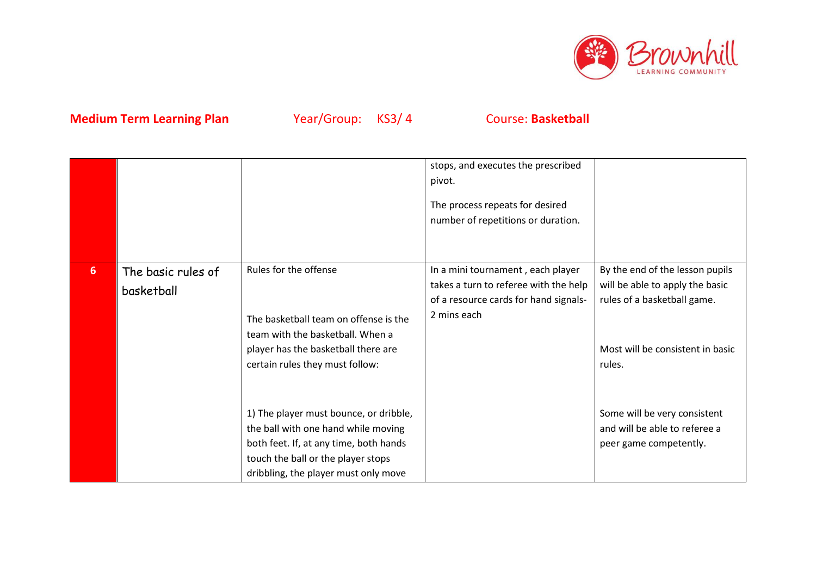

|                |                                  |                                                                                                                                                                                                       | stops, and executes the prescribed<br>pivot.                                                                                       |                                                                                                                                                 |
|----------------|----------------------------------|-------------------------------------------------------------------------------------------------------------------------------------------------------------------------------------------------------|------------------------------------------------------------------------------------------------------------------------------------|-------------------------------------------------------------------------------------------------------------------------------------------------|
|                |                                  |                                                                                                                                                                                                       | The process repeats for desired<br>number of repetitions or duration.                                                              |                                                                                                                                                 |
| 6 <sup>1</sup> | The basic rules of<br>basketball | Rules for the offense<br>The basketball team on offense is the<br>team with the basketball. When a<br>player has the basketball there are<br>certain rules they must follow:                          | In a mini tournament, each player<br>takes a turn to referee with the help<br>of a resource cards for hand signals-<br>2 mins each | By the end of the lesson pupils<br>will be able to apply the basic<br>rules of a basketball game.<br>Most will be consistent in basic<br>rules. |
|                |                                  | 1) The player must bounce, or dribble,<br>the ball with one hand while moving<br>both feet. If, at any time, both hands<br>touch the ball or the player stops<br>dribbling, the player must only move |                                                                                                                                    | Some will be very consistent<br>and will be able to referee a<br>peer game competently.                                                         |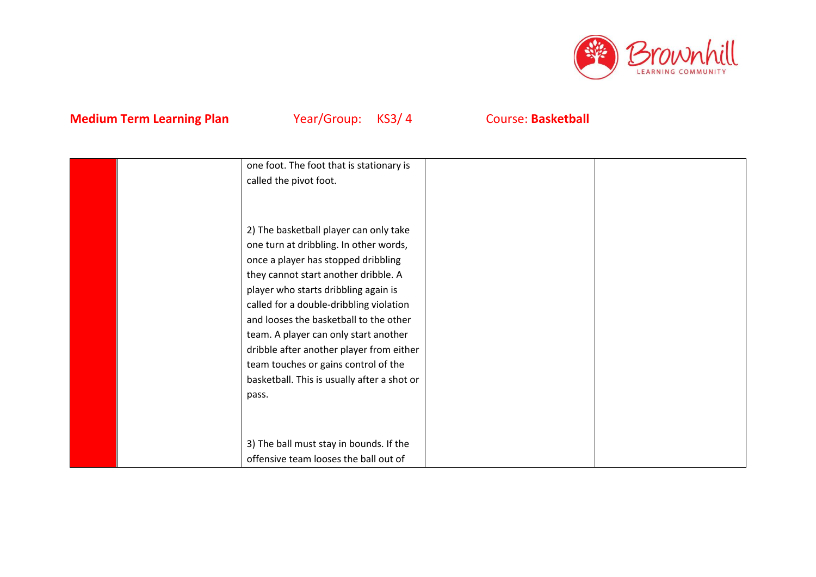

| one foot. The foot that is stationary is<br>called the pivot foot.                                                        |  |
|---------------------------------------------------------------------------------------------------------------------------|--|
|                                                                                                                           |  |
| 2) The basketball player can only take<br>one turn at dribbling. In other words,                                          |  |
| once a player has stopped dribbling<br>they cannot start another dribble. A                                               |  |
| player who starts dribbling again is<br>called for a double-dribbling violation<br>and looses the basketball to the other |  |
| team. A player can only start another<br>dribble after another player from either                                         |  |
| team touches or gains control of the<br>basketball. This is usually after a shot or                                       |  |
| pass.                                                                                                                     |  |
|                                                                                                                           |  |
| 3) The ball must stay in bounds. If the<br>offensive team looses the ball out of                                          |  |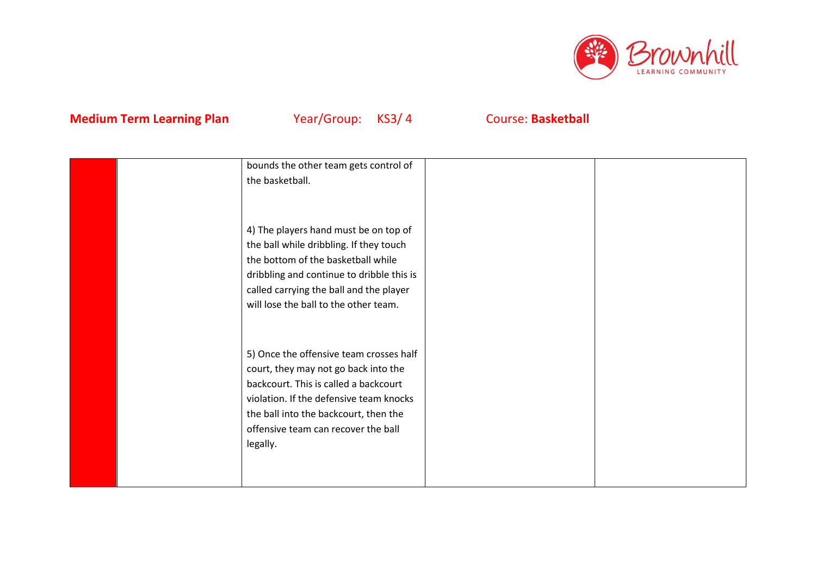

|  | bounds the other team gets control of     |  |
|--|-------------------------------------------|--|
|  | the basketball.                           |  |
|  |                                           |  |
|  |                                           |  |
|  | 4) The players hand must be on top of     |  |
|  | the ball while dribbling. If they touch   |  |
|  | the bottom of the basketball while        |  |
|  | dribbling and continue to dribble this is |  |
|  | called carrying the ball and the player   |  |
|  | will lose the ball to the other team.     |  |
|  |                                           |  |
|  |                                           |  |
|  | 5) Once the offensive team crosses half   |  |
|  | court, they may not go back into the      |  |
|  | backcourt. This is called a backcourt     |  |
|  | violation. If the defensive team knocks   |  |
|  | the ball into the backcourt, then the     |  |
|  | offensive team can recover the ball       |  |
|  | legally.                                  |  |
|  |                                           |  |
|  |                                           |  |
|  |                                           |  |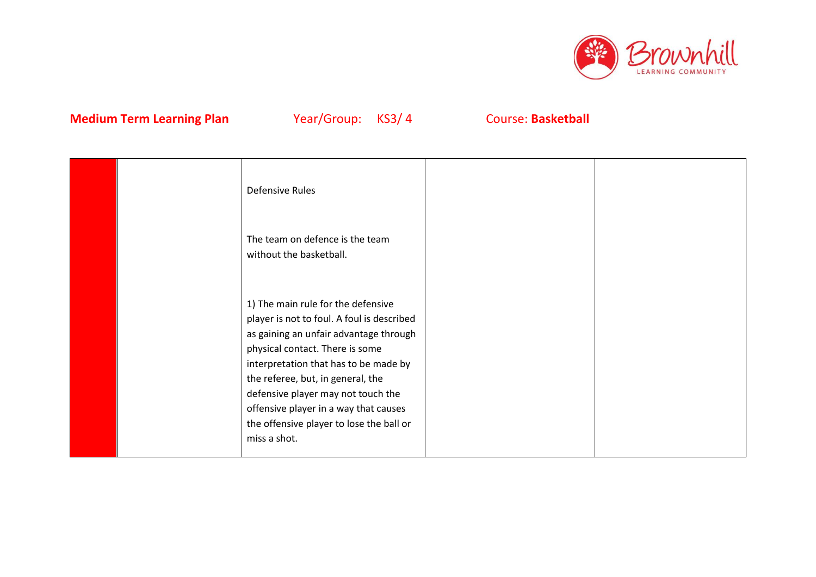

|  | Defensive Rules                                                                                                                                                                                                                                                                                                                                                                        |  |
|--|----------------------------------------------------------------------------------------------------------------------------------------------------------------------------------------------------------------------------------------------------------------------------------------------------------------------------------------------------------------------------------------|--|
|  | The team on defence is the team<br>without the basketball.                                                                                                                                                                                                                                                                                                                             |  |
|  | 1) The main rule for the defensive<br>player is not to foul. A foul is described<br>as gaining an unfair advantage through<br>physical contact. There is some<br>interpretation that has to be made by<br>the referee, but, in general, the<br>defensive player may not touch the<br>offensive player in a way that causes<br>the offensive player to lose the ball or<br>miss a shot. |  |